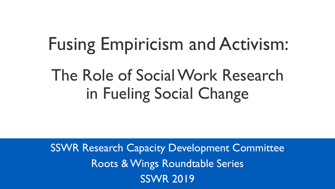# Fusing Empiricism and Activism: The Role of Social Work Research in Fueling Social Change

SSWR Research Capacity Development Committee Roots & Wings Roundtable Series SSWR 2019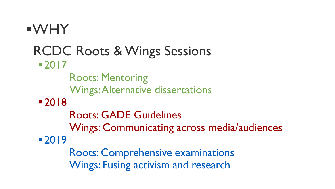WHY RCDC Roots & Wings Sessions 2017 Roots: Mentoring Wings: Alternative dissertations 2018 Roots: GADE Guidelines Wings: Communicating across media/audiences 2019 Roots: Comprehensive examinations Wings: Fusing activism and research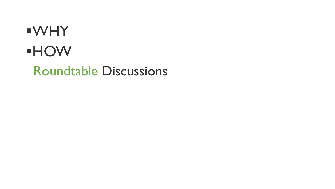#### WHY HOW Roundtable Discussions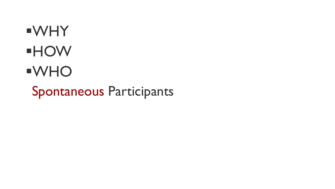# WHY HOW WHO Spontaneous Participants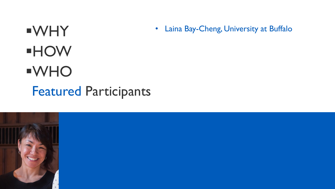#### WHY HOW WHO Featured Participants • Laina Bay-Cheng, University at Buffalo

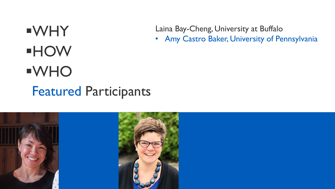Laina Bay-Cheng, University at Buffalo

• Amy Castro Baker, University of Pennsylvania

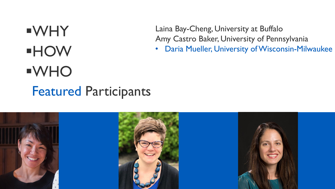Laina Bay-Cheng, University at Buffalo Amy Castro Baker, University of Pennsylvania

Daria Mueller, University of Wisconsin-Milwaukee

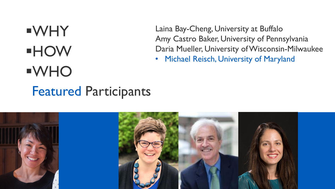Laina Bay-Cheng, University at Buffalo Amy Castro Baker, University of Pennsylvania Daria Mueller, University of Wisconsin-Milwaukee

Michael Reisch, University of Maryland

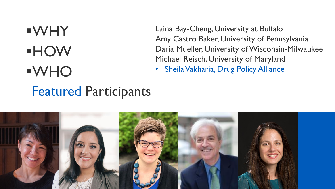Laina Bay-Cheng, University at Buffalo Amy Castro Baker, University of Pennsylvania Daria Mueller, University of Wisconsin-Milwaukee Michael Reisch, University of Maryland

Sheila Vakharia, Drug Policy Alliance

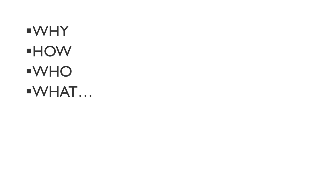WHY HOW WHO WHAT…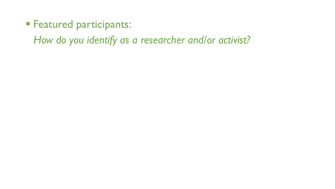- **Featured participants:** 
	- *How do you identify as a researcher and/or activist?*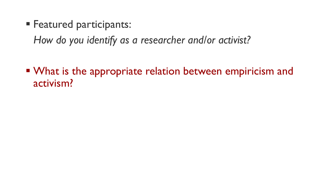**Featured participants:** 

*How do you identify as a researcher and/or activist?*

■ What is the appropriate relation between empiricism and activism?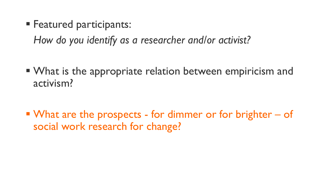**Featured participants:** 

*How do you identify as a researcher and/or activist?*

■ What is the appropriate relation between empiricism and activism?

■ What are the prospects - for dimmer or for brighter – of social work research for change?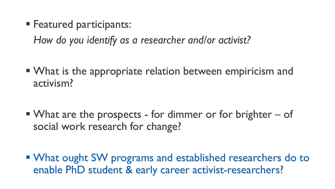**Featured participants:** 

*How do you identify as a researcher and/or activist?*

■ What is the appropriate relation between empiricism and activism?

What are the prospects - for dimmer or for brighter  $-$  of social work research for change?

**Number 1 Number 2018 We are welly constrained Ferrit 20 and 10 and 10 and 10 and 10 and 10 and 10 and 10 and 10 and 10 and 10 and 10 and 10 and 10 and 10 and 10 and 10 and 10 and 10 and 10 and 10 and 10 and 10 and 10 and** enable PhD student & early career activist-researchers?